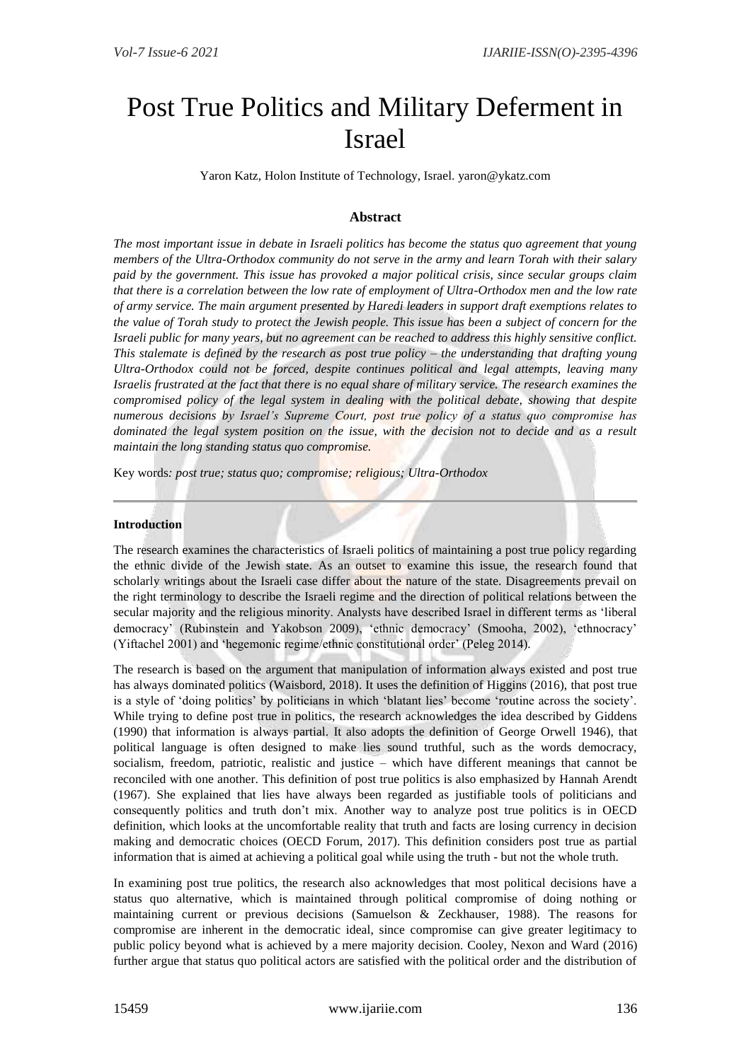# Post True Politics and Military Deferment in Israel

Yaron Katz, Holon Institute of Technology, Israel. yaron@ykatz.com

## **Abstract**

*The most important issue in debate in Israeli politics has become the status quo agreement that young members of the Ultra-Orthodox community do not serve in the army and learn Torah with their salary paid by the government. This issue has provoked a major political crisis, since secular groups claim that there is a correlation between the low rate of employment of Ultra-Orthodox men and the low rate of army service. The main argument presented by Haredi leaders in support draft exemptions relates to the value of Torah study to protect the Jewish people. This issue has been a subject of concern for the Israeli public for many years, but no agreement can be reached to address this highly sensitive conflict. This stalemate is defined by the research as post true policy – the understanding that drafting young Ultra-Orthodox could not be forced, despite continues political and legal attempts, leaving many Israelis frustrated at the fact that there is no equal share of military service. The research examines the compromised policy of the legal system in dealing with the political debate, showing that despite numerous decisions by Israel's Supreme Court, post true policy of a status quo compromise has dominated the legal system position on the issue, with the decision not to decide and as a result maintain the long standing status quo compromise.*

Key words*: post true; status quo; compromise; religious; Ultra-Orthodox*

#### **Introduction**

The research examines the characteristics of Israeli politics of maintaining a post true policy regarding the ethnic divide of the Jewish state. As an outset to examine this issue, the research found that scholarly writings about the Israeli case differ about the nature of the state. Disagreements prevail on the right terminology to describe the Israeli regime and the direction of political relations between the secular majority and the religious minority. Analysts have described Israel in different terms as 'liberal democracy' (Rubinstein and Yakobson 2009), 'ethnic democracy' (Smooha, 2002), 'ethnocracy' (Yiftachel 2001) and 'hegemonic regime/ethnic constitutional order' (Peleg 2014).

The research is based on the argument that manipulation of information always existed and post true has always dominated politics (Waisbord, 2018). It uses the definition of Higgins (2016), that post true is a style of 'doing politics' by politicians in which 'blatant lies' become 'routine across the society'. While trying to define post true in politics, the research acknowledges the idea described by Giddens (1990) that information is always partial. It also adopts the definition of George Orwell 1946), that political language is often designed to make lies sound truthful, such as the words democracy, socialism, freedom, patriotic, realistic and justice – which have different meanings that cannot be reconciled with one another. This definition of post true politics is also emphasized by Hannah Arendt (1967). She explained that lies have always been regarded as justifiable tools of politicians and consequently politics and truth don't mix. Another way to analyze post true politics is in OECD definition, which looks at the uncomfortable reality that truth and facts are losing currency in decision making and democratic choices (OECD Forum, 2017). This definition considers post true as partial information that is aimed at achieving a political goal while using the truth - but not the whole truth.

In examining post true politics, the research also acknowledges that most political decisions have a status quo alternative, which is maintained through political compromise of doing nothing or maintaining current or previous decisions (Samuelson & Zeckhauser, 1988). The reasons for compromise are inherent in the democratic ideal, since compromise can give greater legitimacy to public policy beyond what is achieved by a mere majority decision. Cooley, Nexon and Ward (2016) further argue that status quo political actors are satisfied with the political order and the distribution of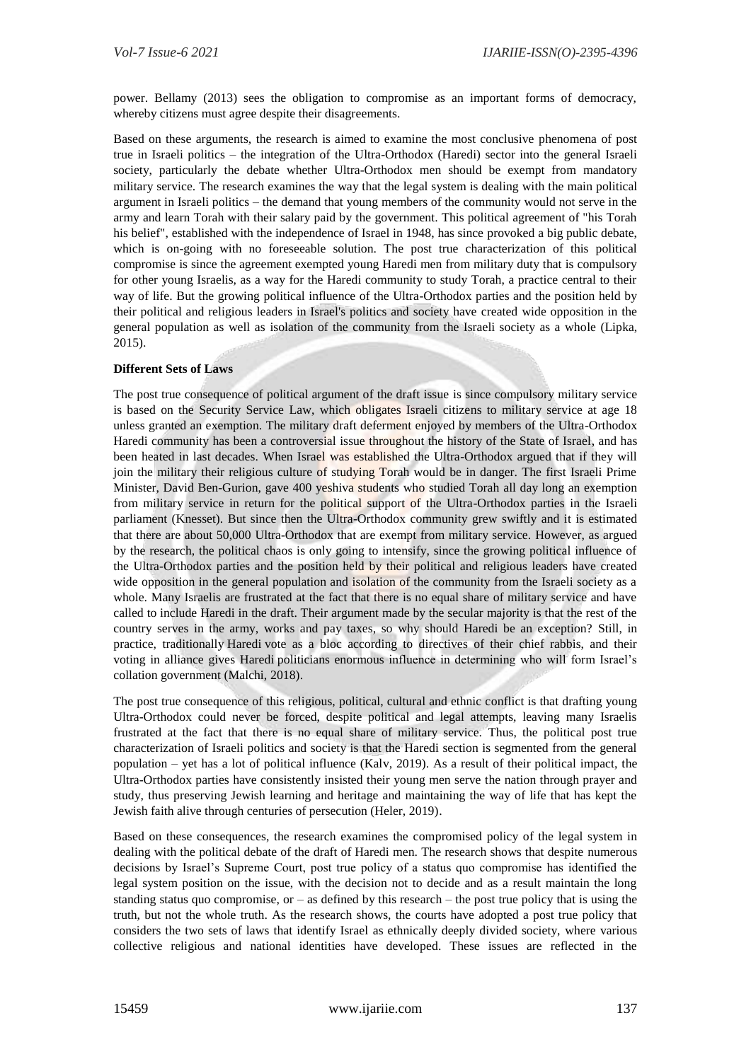power. Bellamy (2013) sees the obligation to compromise as an important forms of democracy, whereby citizens must agree despite their disagreements.

Based on these arguments, the research is aimed to examine the most conclusive phenomena of post true in Israeli politics – the integration of the Ultra-Orthodox (Haredi) sector into the general Israeli society, particularly the debate whether Ultra-Orthodox men should be exempt from mandatory military service. The research examines the way that the legal system is dealing with the main political argument in Israeli politics – the demand that young members of the community would not serve in the army and learn Torah with their salary paid by the government. This political agreement of "his Torah his belief", established with the independence of Israel in 1948, has since provoked a big public debate, which is on-going with no foreseeable solution. The post true characterization of this political compromise is since the agreement exempted young Haredi men from military duty that is compulsory for other young Israelis, as a way for the Haredi community to study Torah, a practice central to their way of life. But the growing political influence of the Ultra-Orthodox parties and the position held by their political and religious leaders in Israel's politics and society have created wide opposition in the general population as well as isolation of the community from the Israeli society as a whole (Lipka, 2015).

### **Different Sets of Laws**

The post true consequence of political argument of the draft issue is since compulsory military service is based on the Security Service Law, which obligates Israeli citizens to military service at age 18 unless granted an exemption. The military draft deferment enjoyed by members of the Ultra-Orthodox Haredi community has been a controversial issue throughout the history of the State of Israel, and has been heated in last decades. When Israel was established the Ultra-Orthodox argued that if they will join the military their religious culture of studying Torah would be in danger. The first Israeli Prime Minister, David Ben-Gurion, gave 400 yeshiva students who studied Torah all day long an exemption from military service in return for the political support of the Ultra-Orthodox parties in the Israeli parliament (Knesset). But since then the Ultra-Orthodox community grew swiftly and it is estimated that there are about 50,000 Ultra-Orthodox that are exempt from military service. However, as argued by the research, the political chaos is only going to intensify, since the growing political influence of the Ultra-Orthodox parties and the position held by their political and religious leaders have created wide opposition in the general population and isolation of the community from the Israeli society as a whole. Many Israelis are frustrated at the fact that there is no equal share of military service and have called to include Haredi in the draft. Their argument made by the secular majority is that the rest of the country serves in the army, works and pay taxes, so why should Haredi be an exception? Still, in practice, traditionally Haredi vote as a bloc according to directives of their chief rabbis, and their voting in alliance gives Haredi politicians enormous influence in determining who will form Israel's collation government (Malchi, 2018).

The post true consequence of this religious, political, cultural and ethnic conflict is that drafting young Ultra-Orthodox could never be forced, despite political and legal attempts, leaving many Israelis frustrated at the fact that there is no equal share of military service. Thus, the political post true characterization of Israeli politics and society is that the Haredi section is segmented from the general population – yet has a lot of political influence (Kalv, 2019). As a result of their political impact, the Ultra-Orthodox parties have consistently insisted their young men serve the nation through prayer and study, thus preserving Jewish learning and heritage and maintaining the way of life that has kept the Jewish faith alive through centuries of persecution (Heler, 2019).

Based on these consequences, the research examines the compromised policy of the legal system in dealing with the political debate of the draft of Haredi men. The research shows that despite numerous decisions by Israel's Supreme Court, post true policy of a status quo compromise has identified the legal system position on the issue, with the decision not to decide and as a result maintain the long standing status quo compromise, or  $-$  as defined by this research  $-$  the post true policy that is using the truth, but not the whole truth. As the research shows, the courts have adopted a post true policy that considers the two sets of laws that identify Israel as ethnically deeply divided society, where various collective religious and national identities have developed. These issues are reflected in the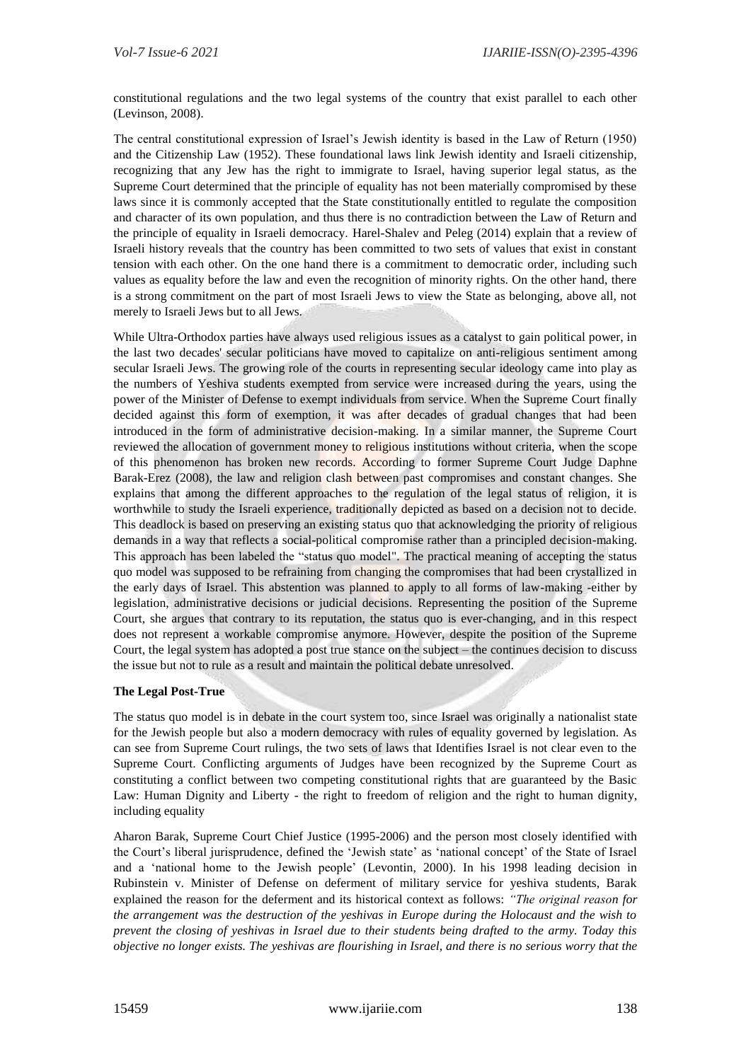constitutional regulations and the two legal systems of the country that exist parallel to each other (Levinson, 2008).

The central constitutional expression of Israel's Jewish identity is based in the Law of Return (1950) and the Citizenship Law (1952). These foundational laws link Jewish identity and Israeli citizenship, recognizing that any Jew has the right to immigrate to Israel, having superior legal status, as the Supreme Court determined that the principle of equality has not been materially compromised by these laws since it is commonly accepted that the State constitutionally entitled to regulate the composition and character of its own population, and thus there is no contradiction between the Law of Return and the principle of equality in Israeli democracy. Harel-Shalev and Peleg (2014) explain that a review of Israeli history reveals that the country has been committed to two sets of values that exist in constant tension with each other. On the one hand there is a commitment to democratic order, including such values as equality before the law and even the recognition of minority rights. On the other hand, there is a strong commitment on the part of most Israeli Jews to view the State as belonging, above all, not merely to Israeli Jews but to all Jews.

While Ultra-Orthodox parties have always used religious issues as a catalyst to gain political power, in the last two decades' secular politicians have moved to capitalize on anti-religious sentiment among secular Israeli Jews. The growing role of the courts in representing secular ideology came into play as the numbers of Yeshiva students exempted from service were increased during the years, using the power of the Minister of Defense to exempt individuals from service. When the Supreme Court finally decided against this form of exemption, it was after decades of gradual changes that had been introduced in the form of administrative decision-making. In a similar manner, the Supreme Court reviewed the allocation of government money to religious institutions without criteria, when the scope of this phenomenon has broken new records. According to former Supreme Court Judge Daphne Barak-Erez (2008), the law and religion clash between past compromises and constant changes. She explains that among the different approaches to the regulation of the legal status of religion, it is worthwhile to study the Israeli experience, traditionally depicted as based on a decision not to decide. This deadlock is based on preserving an existing status quo that acknowledging the priority of religious demands in a way that reflects a social-political compromise rather than a principled decision-making. This approach has been labeled the "status quo model". The practical meaning of accepting the status quo model was supposed to be refraining from changing the compromises that had been crystallized in the early days of Israel. This abstention was planned to apply to all forms of law-making -either by legislation, administrative decisions or judicial decisions. Representing the position of the Supreme Court, she argues that contrary to its reputation, the status quo is ever-changing, and in this respect does not represent a workable compromise anymore. However, despite the position of the Supreme Court, the legal system has adopted a post true stance on the subject – the continues decision to discuss the issue but not to rule as a result and maintain the political debate unresolved.

## **The Legal Post-True**

The status quo model is in debate in the court system too, since Israel was originally a nationalist state for the Jewish people but also a modern democracy with rules of equality governed by legislation. As can see from Supreme Court rulings, the two sets of laws that Identifies Israel is not clear even to the Supreme Court. Conflicting arguments of Judges have been recognized by the Supreme Court as constituting a conflict between two competing constitutional rights that are guaranteed by the Basic Law: Human Dignity and Liberty - the right to freedom of religion and the right to human dignity, including equality

Aharon Barak, Supreme Court Chief Justice (1995-2006) and the person most closely identified with the Court's liberal jurisprudence, defined the 'Jewish state' as 'national concept' of the State of Israel and a 'national home to the Jewish people' (Levontin, 2000). In his 1998 leading decision in Rubinstein v. Minister of Defense on deferment of military service for yeshiva students, Barak explained the reason for the deferment and its historical context as follows: *"The original reason for the arrangement was the destruction of the yeshivas in Europe during the Holocaust and the wish to prevent the closing of yeshivas in Israel due to their students being drafted to the army. Today this objective no longer exists. The yeshivas are flourishing in Israel, and there is no serious worry that the*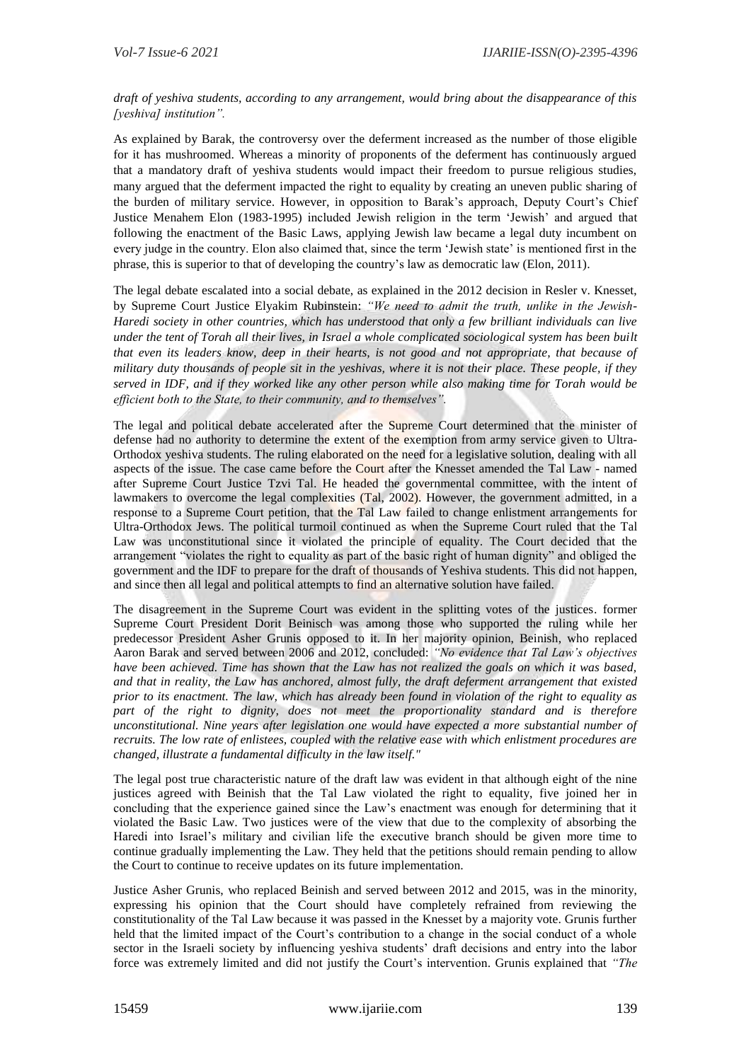## *draft of yeshiva students, according to any arrangement, would bring about the disappearance of this [yeshiva] institution".*

As explained by Barak, the controversy over the deferment increased as the number of those eligible for it has mushroomed. Whereas a minority of proponents of the deferment has continuously argued that a mandatory draft of yeshiva students would impact their freedom to pursue religious studies, many argued that the deferment impacted the right to equality by creating an uneven public sharing of the burden of military service. However, in opposition to Barak's approach, Deputy Court's Chief Justice Menahem Elon (1983-1995) included Jewish religion in the term 'Jewish' and argued that following the enactment of the Basic Laws, applying Jewish law became a legal duty incumbent on every judge in the country. Elon also claimed that, since the term 'Jewish state' is mentioned first in the phrase, this is superior to that of developing the country's law as democratic law (Elon, 2011).

The legal debate escalated into a social debate, as explained in the 2012 decision in Resler v. Knesset, by Supreme Court Justice Elyakim Rubinstein: *"We need to admit the truth, unlike in the Jewish-Haredi society in other countries, which has understood that only a few brilliant individuals can live under the tent of Torah all their lives, in Israel a whole complicated sociological system has been built that even its leaders know, deep in their hearts, is not good and not appropriate, that because of military duty thousands of people sit in the yeshivas, where it is not their place. These people, if they served in IDF, and if they worked like any other person while also making time for Torah would be efficient both to the State, to their community, and to themselves".*

The legal and political debate accelerated after the Supreme Court determined that the minister of defense had no authority to determine the extent of the exemption from army service given to Ultra-Orthodox yeshiva students. The ruling elaborated on the need for a legislative solution, dealing with all aspects of the issue. The case came before the Court after the Knesset amended the Tal Law - named after Supreme Court Justice Tzvi Tal. He headed the governmental committee, with the intent of lawmakers to overcome the legal complexities (Tal, 2002). However, the government admitted, in a response to a Supreme Court petition, that the Tal Law failed to change enlistment arrangements for Ultra-Orthodox Jews. The political turmoil continued as when the Supreme Court ruled that the Tal Law was unconstitutional since it violated the principle of equality. The Court decided that the arrangement "violates the right to equality as part of the basic right of human dignity" and obliged the government and the IDF to prepare for the draft of thousands of Yeshiva students. This did not happen, and since then all legal and political attempts to find an alternative solution have failed.

The disagreement in the Supreme Court was evident in the splitting votes of the justices. former Supreme Court President Dorit Beinisch was among those who supported the ruling while her predecessor President Asher Grunis opposed to it. In her majority opinion, Beinish, who replaced Aaron Barak and served between 2006 and 2012, concluded: *"No evidence that Tal Law's objectives have been achieved. Time has shown that the Law has not realized the goals on which it was based, and that in reality, the Law has anchored, almost fully, the draft deferment arrangement that existed prior to its enactment. The law, which has already been found in violation of the right to equality as*  part of the right to dignity, does not meet the proportionality standard and is therefore *unconstitutional. Nine years after legislation one would have expected a more substantial number of recruits. The low rate of enlistees, coupled with the relative ease with which enlistment procedures are changed, illustrate a fundamental difficulty in the law itself."* 

The legal post true characteristic nature of the draft law was evident in that although eight of the nine justices agreed with Beinish that the Tal Law violated the right to equality, five joined her in concluding that the experience gained since the Law's enactment was enough for determining that it violated the Basic Law. Two justices were of the view that due to the complexity of absorbing the Haredi into Israel's military and civilian life the executive branch should be given more time to continue gradually implementing the Law. They held that the petitions should remain pending to allow the Court to continue to receive updates on its future implementation.

Justice Asher Grunis, who replaced Beinish and served between 2012 and 2015, was in the minority, expressing his opinion that the Court should have completely refrained from reviewing the constitutionality of the Tal Law because it was passed in the Knesset by a majority vote. Grunis further held that the limited impact of the Court's contribution to a change in the social conduct of a whole sector in the Israeli society by influencing yeshiva students' draft decisions and entry into the labor force was extremely limited and did not justify the Court's intervention. Grunis explained that *"The*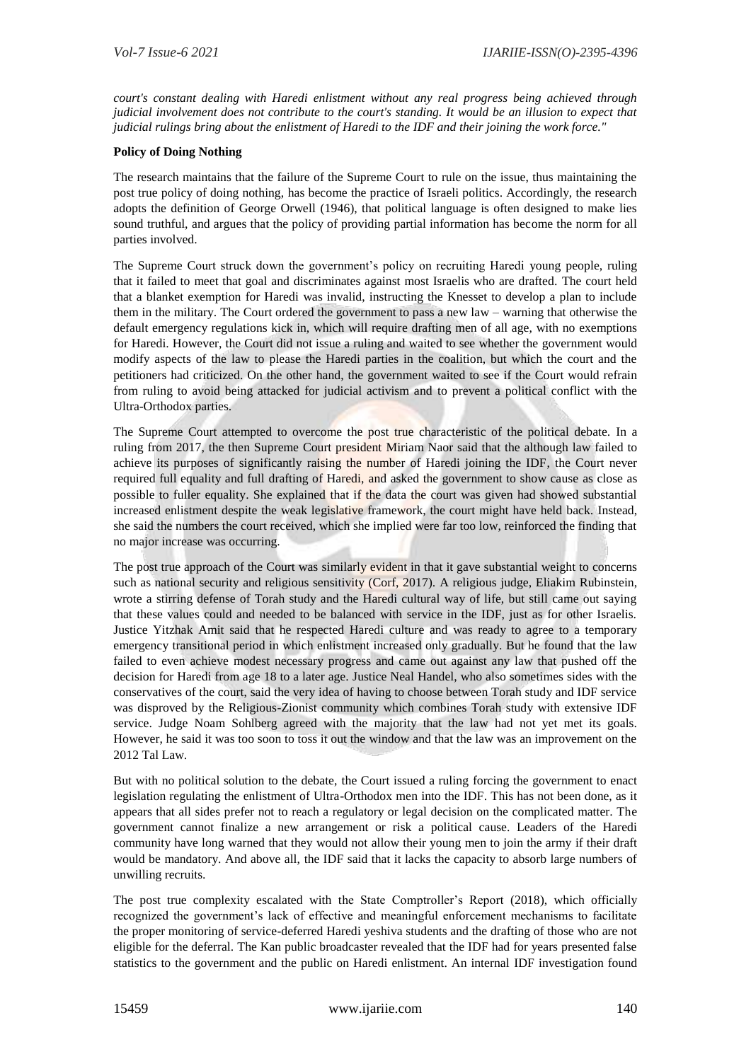*court's constant dealing with Haredi enlistment without any real progress being achieved through judicial involvement does not contribute to the court's standing. It would be an illusion to expect that judicial rulings bring about the enlistment of Haredi to the IDF and their joining the work force."*

### **Policy of Doing Nothing**

The research maintains that the failure of the Supreme Court to rule on the issue, thus maintaining the post true policy of doing nothing, has become the practice of Israeli politics. Accordingly, the research adopts the definition of George Orwell (1946), that political language is often designed to make lies sound truthful, and argues that the policy of providing partial information has become the norm for all parties involved.

The Supreme Court struck down the government's policy on recruiting Haredi young people, ruling that it failed to meet that goal and discriminates against most Israelis who are drafted. The court held that a blanket exemption for Haredi was invalid, instructing the Knesset to develop a plan to include them in the military. The Court ordered the government to pass a new law – warning that otherwise the default emergency regulations kick in, which will require drafting men of all age, with no exemptions for Haredi. However, the Court did not issue a ruling and waited to see whether the government would modify aspects of the law to please the Haredi parties in the coalition, but which the court and the petitioners had criticized. On the other hand, the government waited to see if the Court would refrain from ruling to avoid being attacked for judicial activism and to prevent a political conflict with the Ultra-Orthodox parties.

The Supreme Court attempted to overcome the post true characteristic of the political debate. In a ruling from 2017, the then Supreme Court president Miriam Naor said that the although law failed to achieve its purposes of significantly raising the number of Haredi joining the IDF, the Court never required full equality and full drafting of Haredi, and asked the government to show cause as close as possible to fuller equality. She explained that if the data the court was given had showed substantial increased enlistment despite the weak legislative framework, the court might have held back. Instead, she said the numbers the court received, which she implied were far too low, reinforced the finding that no major increase was occurring.

The post true approach of the Court was similarly evident in that it gave substantial weight to concerns such as national security and religious sensitivity (Corf, 2017). A religious judge, Eliakim Rubinstein, wrote a stirring defense of Torah study and the Haredi cultural way of life, but still came out saying that these values could and needed to be balanced with service in the IDF, just as for other Israelis. Justice Yitzhak Amit said that he respected Haredi culture and was ready to agree to a temporary emergency transitional period in which enlistment increased only gradually. But he found that the law failed to even achieve modest necessary progress and came out against any law that pushed off the decision for Haredi from age 18 to a later age. Justice Neal Handel, who also sometimes sides with the conservatives of the court, said the very idea of having to choose between Torah study and IDF service was disproved by the Religious-Zionist community which combines Torah study with extensive IDF service. Judge Noam Sohlberg agreed with the majority that the law had not yet met its goals. However, he said it was too soon to toss it out the window and that the law was an improvement on the 2012 Tal Law.

But with no political solution to the debate, the Court issued a ruling forcing the government to enact legislation regulating the enlistment of Ultra-Orthodox men into the IDF. This has not been done, as it appears that all sides prefer not to reach a regulatory or legal decision on the complicated matter. The government cannot finalize a new arrangement or risk a political cause. Leaders of the Haredi community have long warned that they would not allow their young men to join the army if their draft would be mandatory. And above all, the IDF said that it lacks the capacity to absorb large numbers of unwilling recruits.

The post true complexity escalated with the State Comptroller's Report (2018), which officially recognized the government's lack of effective and meaningful enforcement mechanisms to facilitate the proper monitoring of service-deferred Haredi yeshiva students and the drafting of those who are not eligible for the deferral. The Kan public broadcaster revealed that the IDF had for years presented false statistics to the government and the public on Haredi enlistment. An internal IDF investigation found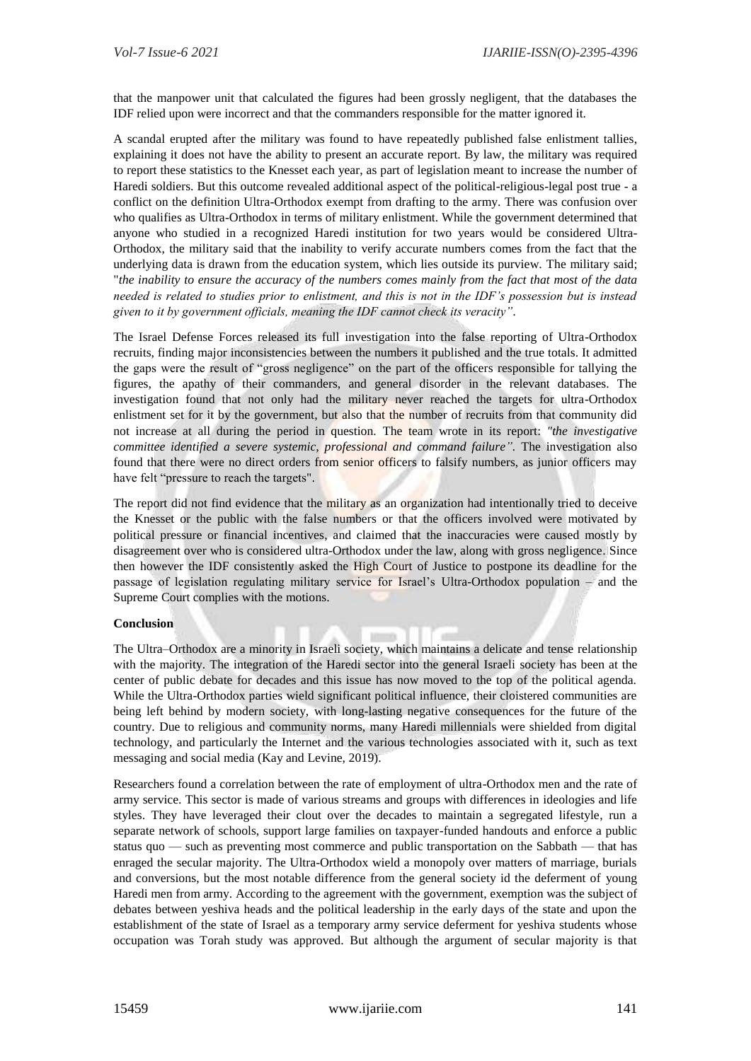that the manpower unit that calculated the figures had been grossly negligent, that the databases the IDF relied upon were incorrect and that the commanders responsible for the matter ignored it.

A scandal erupted after the military was found to have repeatedly published false enlistment tallies, explaining it does not have the ability to present an accurate report. By law, the military was required to report these statistics to the Knesset each year, as part of legislation meant to increase the number of Haredi soldiers. But this outcome revealed additional aspect of the political-religious-legal post true - a conflict on the definition Ultra-Orthodox exempt from drafting to the army. There was confusion over who qualifies as Ultra-Orthodox in terms of military enlistment. While the government determined that anyone who studied in a recognized Haredi institution for two years would be considered Ultra-Orthodox, the military said that the inability to verify accurate numbers comes from the fact that the underlying data is drawn from the education system, which lies outside its purview. The military said; "*the inability to ensure the accuracy of the numbers comes mainly from the fact that most of the data needed is related to studies prior to enlistment, and this is not in the IDF's possession but is instead given to it by government officials, meaning the IDF cannot check its veracity".*

The Israel Defense Forces released its full investigation into the false reporting of Ultra-Orthodox recruits, finding major inconsistencies between the numbers it published and the true totals. It admitted the gaps were the result of "gross negligence" on the part of the officers responsible for tallying the figures, the apathy of their commanders, and general disorder in the relevant databases. The investigation found that not only had the military never reached the targets for ultra-Orthodox enlistment set for it by the government, but also that the number of recruits from that community did not increase at all during the period in question. The team wrote in its report: *"the investigative committee identified a severe systemic, professional and command failure".* The investigation also found that there were no direct orders from senior officers to falsify numbers, as junior officers may have felt "pressure to reach the targets".

The report did not find evidence that the military as an organization had intentionally tried to deceive the Knesset or the public with the false numbers or that the officers involved were motivated by political pressure or financial incentives, and claimed that the inaccuracies were caused mostly by disagreement over who is considered ultra-Orthodox under the law, along with gross negligence. Since then however the IDF consistently asked the High Court of Justice to postpone its deadline for the passage of legislation regulating military service for Israel's Ultra-Orthodox population – and the Supreme Court complies with the motions.

## **Conclusion**

The Ultra–Orthodox are a minority in Israeli society, which maintains a delicate and tense relationship with the majority. The integration of the Haredi sector into the general Israeli society has been at the center of public debate for decades and this issue has now moved to the top of the political agenda. While the Ultra-Orthodox parties wield significant political influence, their cloistered communities are being left behind by modern society, with long-lasting negative consequences for the future of the country. Due to religious and community norms, many Haredi millennials were shielded from digital technology, and particularly the Internet and the various technologies associated with it, such as text messaging and social media (Kay and Levine, 2019).

Researchers found a correlation between the rate of employment of ultra-Orthodox men and the rate of army service. This sector is made of various streams and groups with differences in ideologies and life styles. They have leveraged their clout over the decades to maintain a segregated lifestyle, run a separate network of schools, support large families on taxpayer-funded handouts and enforce a public status quo — such as preventing most commerce and public transportation on the Sabbath — that has enraged the secular majority. The Ultra-Orthodox wield a monopoly over matters of marriage, burials and conversions, but the most notable difference from the general society id the deferment of young Haredi men from army. According to the agreement with the government, exemption was the subject of debates between yeshiva heads and the political leadership in the early days of the state and upon the establishment of the state of Israel as a temporary army service deferment for yeshiva students whose occupation was Torah study was approved. But although the argument of secular majority is that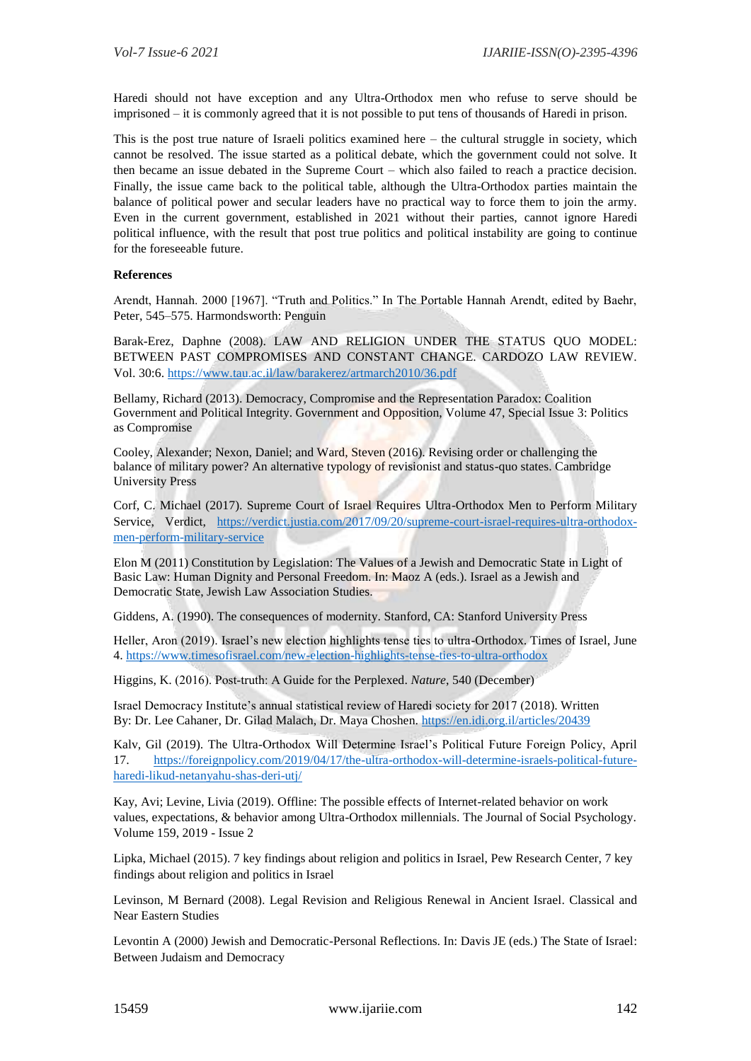Haredi should not have exception and any Ultra-Orthodox men who refuse to serve should be imprisoned – it is commonly agreed that it is not possible to put tens of thousands of Haredi in prison.

This is the post true nature of Israeli politics examined here – the cultural struggle in society, which cannot be resolved. The issue started as a political debate, which the government could not solve. It then became an issue debated in the Supreme Court – which also failed to reach a practice decision. Finally, the issue came back to the political table, although the Ultra-Orthodox parties maintain the balance of political power and secular leaders have no practical way to force them to join the army. Even in the current government, established in 2021 without their parties, cannot ignore Haredi political influence, with the result that post true politics and political instability are going to continue for the foreseeable future.

### **References**

Arendt, Hannah. 2000 [1967]. "Truth and Politics." In The Portable Hannah Arendt, edited by Baehr, Peter, 545–575. Harmondsworth: Penguin

Barak-Erez, Daphne (2008). LAW AND RELIGION UNDER THE STATUS QUO MODEL: BETWEEN PAST COMPROMISES AND CONSTANT CHANGE. CARDOZO LAW REVIEW. Vol. 30:6.<https://www.tau.ac.il/law/barakerez/artmarch2010/36.pdf>

Bellamy, Richard (2013). Democracy, Compromise and the Representation Paradox: Coalition Government and Political Integrity. Government and Opposition, Volume 47, Special Issue 3: Politics as Compromise

Cooley, Alexander; Nexon, Daniel; and Ward, Steven (2016). Revising order or challenging the balance of military power? An alternative typology of revisionist and status-quo states. Cambridge University Press

Corf, C. Michael (2017). Supreme Court of Israel Requires Ultra-Orthodox Men to Perform Military Service, Verdict, [https://verdict.justia.com/2017/09/20/supreme-court-israel-requires-ultra-orthodox](https://verdict.justia.com/2017/09/20/supreme-court-israel-requires-ultra-orthodox-men-perform-military-service)[men-perform-military-service](https://verdict.justia.com/2017/09/20/supreme-court-israel-requires-ultra-orthodox-men-perform-military-service)

Elon M (2011) Constitution by Legislation: The Values of a Jewish and Democratic State in Light of Basic Law: Human Dignity and Personal Freedom. In: Maoz A (eds.). Israel as a Jewish and Democratic State, Jewish Law Association Studies.

Giddens, A. (1990). The consequences of modernity. Stanford, CA: Stanford University Press

Heller, Aron (2019). Israel's new election highlights tense ties to ultra-Orthodox. Times of Israel, June 4.<https://www.timesofisrael.com/new-election-highlights-tense-ties-to-ultra-orthodox>

Higgins, K. (2016). Post-truth: A Guide for the Perplexed. *Nature*, 540 (December)

Israel Democracy Institute's annual statistical review of Haredi society for 2017 (2018). Written By: [Dr. Lee Cahaner,](https://en.idi.org.il/experts/1452) [Dr. Gilad Malach,](https://en.idi.org.il/experts/1451) Dr. Maya Choshen.<https://en.idi.org.il/articles/20439>

Kalv, Gil (2019). The Ultra-Orthodox Will Determine Israel's Political Future Foreign Policy, April 17. [https://foreignpolicy.com/2019/04/17/the-ultra-orthodox-will-determine-israels-political-future](https://foreignpolicy.com/2019/04/17/the-ultra-orthodox-will-determine-israels-political-future-haredi-likud-netanyahu-shas-deri-utj/)[haredi-likud-netanyahu-shas-deri-utj/](https://foreignpolicy.com/2019/04/17/the-ultra-orthodox-will-determine-israels-political-future-haredi-likud-netanyahu-shas-deri-utj/)

Kay, Avi; Levine, Livia (2019). Offline: The possible effects of Internet-related behavior on work values, expectations, & behavior among Ultra-Orthodox millennials. The Journal of Social Psychology. Volume 159, 2019 - Issue 2

Lipka, Michael (2015). 7 key findings about religion and politics in Israel, Pew Research Center, 7 key findings about religion and politics in Israel

Levinson, M Bernard (2008). Legal Revision and Religious Renewal in Ancient Israel. Classical and Near Eastern Studies

Levontin A (2000) Jewish and Democratic-Personal Reflections. In: Davis JE (eds.) The State of Israel: Between Judaism and Democracy